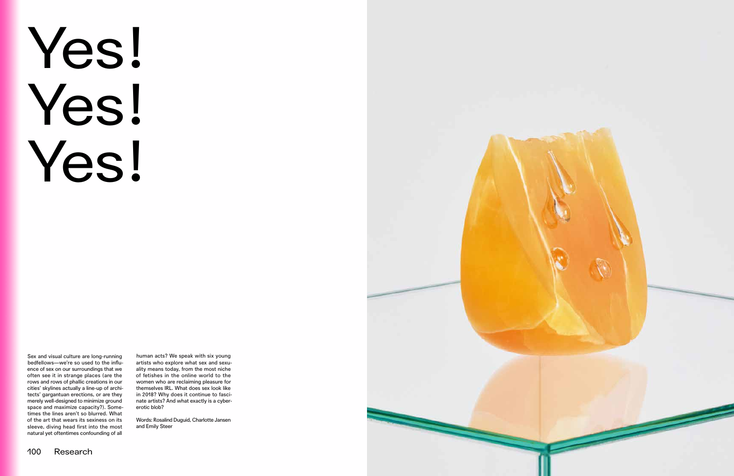

Sex and visual culture are long-running bedfellows—we're so used to the infuence of sex on our surroundings that we often see it in strange places (are the rows and rows of phallic creations in our cities' skylines actually a line-up of architects' gargantuan erections, or are they merely well-designed to minimize ground space and maximize capacity?). Sometimes the lines aren't so blurred. What of the art that wears its sexiness on its sleeve, diving head first into the most natural yet oftentimes confounding of all

human acts? We speak with six young artists who explore what sex and sexuality means today, from the most niche of fetishes in the online world to the women who are reclaiming pleasure for themselves IRL. What does sex look like in 2018? Why does it continue to fascinate artists? And what exactly is a cybererotic blob?

Words: Rosalind Duguid, Charlotte Jansen and Emily Steer

## Yes! Yes! Yes!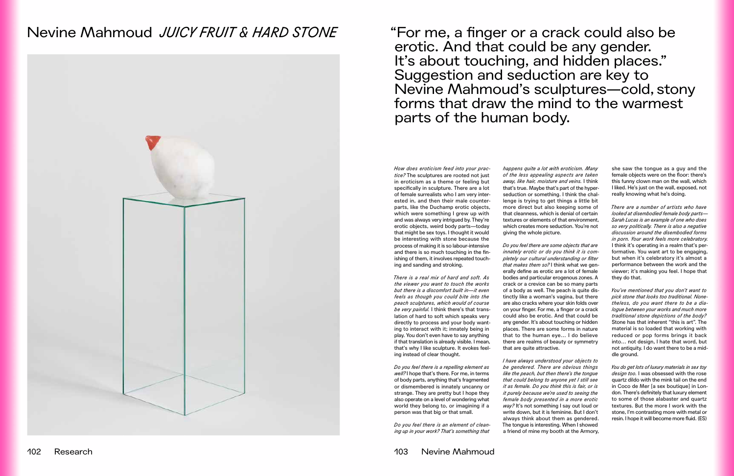## Nevine Mahmoud *JUICY FRUIT & HARD STONE*



"For me, a fnger or a crack could also be erotic. And that could be any gender. It's about touching, and hidden places." Suggestion and seduction are key to Nevine Mahmoud's sculptures—cold, stony forms that draw the mind to the warmest parts of the human body.

*How does eroticism feed into your practice?* The sculptures are rooted not just in eroticism as a theme or feeling but specifcally in sculpture. There are a lot of female surrealists who I am very interested in, and then their male counterparts, like the Duchamp erotic objects, which were something I grew up with and was always very intrigued by. They're erotic objects, weird body parts—today that might be sex toys. I thought it would be interesting with stone because the process of making it is so labour-intensive and there is so much touching in the fnishing of them, it involves repeated touching and sanding and stroking.

*There is a real mix of hard and soft. As the viewer you want to touch the works but there is a discomfort built in—it even feels as though you could bite into the peach sculptures, which would of course be very painful.* I think there's that translation of hard to soft which speaks very directly to process and your body wanting to interact with it; innately being in play. You don't even have to say anything if that translation is already visible. I mean, that's why I like sculpture. It evokes feeling instead of clear thought.

*Do you feel there is a repelling element as well?* I hope that's there. For me, in terms of body parts, anything that's fragmented or dismembered is innately uncanny or strange. They are pretty but I hope they also operate on a level of wondering what world they belong to, or imagining if a person was that big or that small.

*Do you feel there is an element of cleaning up in your work? That's something that* 

*happens quite a lot with eroticism. Many of the less appealing aspects are taken away, like hair, moisture and veins.* I think that's true. Maybe that's part of the hyperseduction or something. I think the challenge is trying to get things a little bit more direct but also keeping some of that cleanness, which is denial of certain textures or elements of that environment, which creates more seduction. You're not giving the whole picture.

*Do you feel there are some objects that are innately erotic or do you think it is completely our cultural understanding or flter that makes them so?* I think what we generally defne as erotic are a lot of female bodies and particular erogenous zones. A crack or a crevice can be so many parts of a body as well. The peach is quite distinctly like a woman's vagina, but there are also cracks where your skin folds over on your fnger. For me, a fnger or a crack could also be erotic. And that could be any gender. It's about touching or hidden places. There are some forms in nature that to the human eye… I do believe there are realms of beauty or symmetry that are quite attractive.

*I have always understood your objects to be gendered. There are obvious things like the peach, but then there's the tongue that could belong to anyone yet I still see it as female. Do you think this is fair, or is it purely because we're used to seeing the female body presented in a more erotic way?* It's not something I say out loud or write down, but it is feminine. But I don't always think about them as gendered. The tongue is interesting. When I showed a friend of mine my booth at the Armory,

she saw the tongue as a guy and the female objects were on the floor: there's this funny clown man on the wall, which I liked. He's just on the wall, exposed, not really knowing what he's doing.

*There are a number of artists who have looked at disembodied female body parts— Sarah Lucas is an example of one who does so very politically. There is also a negative discussion around the disembodied forms in porn. Your work feels more celebratory.* I think it's operating in a realm that's performative. You want art to be engaging, but when it's celebratory it's almost a performance between the work and the viewer; it's making you feel. I hope that they do that.

*You've mentioned that you don't want to pick stone that looks too traditional. Nonetheless, do you want there to be a dialogue between your works and much more traditional stone depictions of the body?* Stone has that inherent "this is art". The material is so loaded that working with reduced or pop forms brings it back into… not design, I hate that word, but not antiquity. I do want there to be a middle ground.

*You do get lots of luxury materials in sex toy design too.* I was obsessed with the rose quartz dildo with the mink tail on the end in Coco de Mer [a sex boutique] in London. There's defnitely that luxury element to some of those alabaster and quartz textures. But the more I work with the stone, I'm contrasting more with metal or resin. I hope it will become more fuid. (ES)